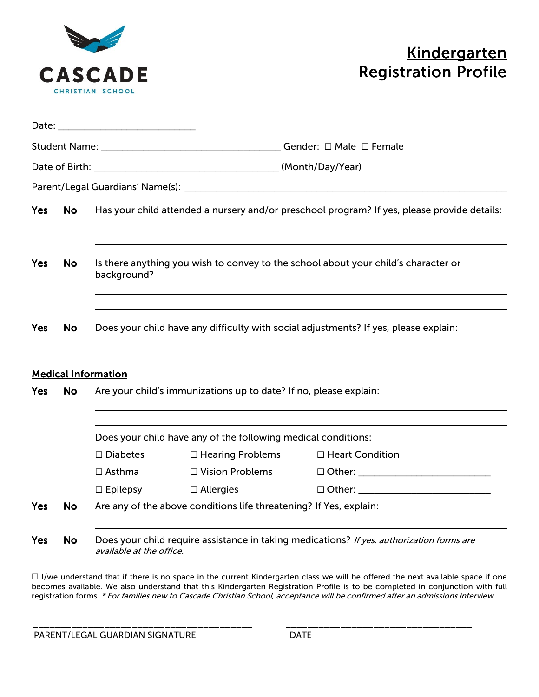

# **Kindergarten Registration Profile**

| Date: |           | <u> 1989 - Johann Barn, mars eta bat erroman erroman erroman erroman erroman erroman erroman erroman erroman err</u>  |                  |                                                |  |
|-------|-----------|-----------------------------------------------------------------------------------------------------------------------|------------------|------------------------------------------------|--|
|       |           |                                                                                                                       |                  |                                                |  |
|       |           |                                                                                                                       |                  |                                                |  |
|       |           |                                                                                                                       |                  |                                                |  |
| Yes   | <b>No</b> | Has your child attended a nursery and/or preschool program? If yes, please provide details:                           |                  |                                                |  |
| Yes   | <b>No</b> | Is there anything you wish to convey to the school about your child's character or<br>background?                     |                  |                                                |  |
| Yes   | <b>No</b> | Does your child have any difficulty with social adjustments? If yes, please explain:                                  |                  |                                                |  |
|       |           | <b>Medical Information</b>                                                                                            |                  |                                                |  |
| Yes   | <b>No</b> | Are your child's immunizations up to date? If no, please explain:                                                     |                  |                                                |  |
|       |           | Does your child have any of the following medical conditions:                                                         |                  |                                                |  |
|       |           | $\square$ Diabetes                                                                                                    |                  | $\Box$ Hearing Problems $\Box$ Heart Condition |  |
|       |           | $\Box$ Asthma                                                                                                         |                  |                                                |  |
|       |           | $\Box$ Epilepsy                                                                                                       | $\Box$ Allergies | $\Box$ $\Box$ $\Box$                           |  |
| Yes   | <b>No</b> | Are any of the above conditions life threatening? If Yes, explain: ______________                                     |                  |                                                |  |
| Yes   | <b>No</b> | Does your child require assistance in taking medications? If yes, authorization forms are<br>available at the office. |                  |                                                |  |

 $\Box$  I/we understand that if there is no space in the current Kindergarten class we will be offered the next available space if one becomes available. We also understand that this Kindergarten Registration Profile is to be completed in conjunction with full registration forms. \* For families new to Cascade Christian School, acceptance will be confirmed after an admissions interview.